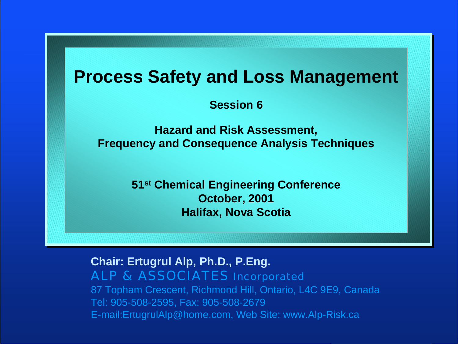## **Process Safety and Loss Management**

**Session 6**

**Hazard and Risk Assessment, Frequency and Consequence Analysis Techniques**

> **51st Chemical Engineering Conference October, 2001 Halifax, Nova Scotia**

#### **Chair: Ertugrul Alp, Ph.D., P.Eng.** ALP & ASSOCIATES Incorporated

87 Topham Crescent, Richmond Hill, Ontario, L4C 9E9, Canada Tel: 905-508-2595, Fax: 905-508-2679 E-mail:ErtugrulAlp@home.com, Web Site: www.Alp-Risk.ca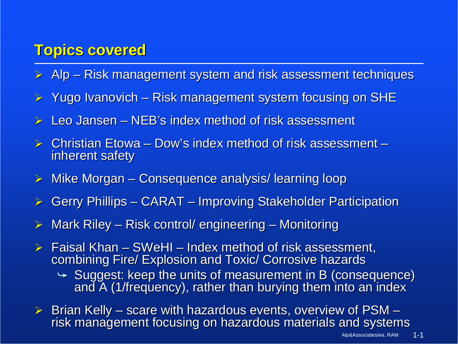# **Topics covered Topics covered**

- ¾Alp – Risk management system and risk assessment techniques
- ¾Yugo Ivanovich – Risk management system focusing on SHE
- ¾Leo Jansen – NEB's index method of risk assessment
- ¾Christian Etowa – Dow's index method of risk assessment – inherent safety
- ¾Mike Morgan – Consequence analysis/ learning loop
- ¾Gerry Phillips – CARAT – Improving Stakeholder Participation
- ¾Mark Riley – Risk control/ engineering – Monitoring
- $\blacktriangleright$ Faisal Khan – SWeHI – Index method of risk assessment, combining Fire/ Explosion and Toxic/ Corrosive hazards
	- $\rightarrow$  Suggest: keep the units of measurement in B (consequence) and A (1/frequency), rather than burying them into an index
- ► Brian Kelly scare with hazardous events, overview of PSM –<br>risk management focusing on hazardous materials and systems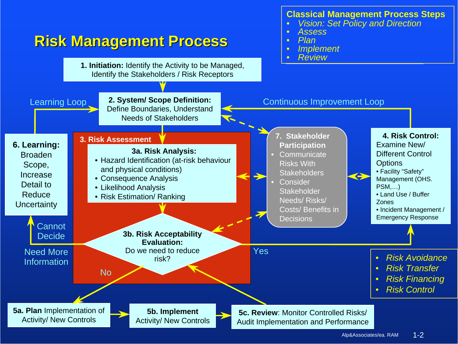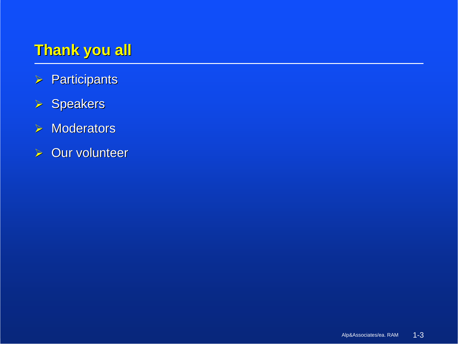# **Thank you all Thank you all**

- $\triangleright$  Participants
- $\triangleright$  Speakers
- $\triangleright$  Moderators
- $\triangleright$  Our volunteer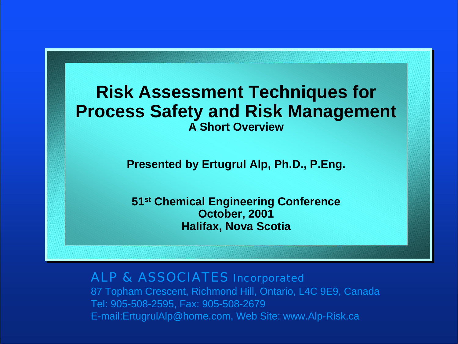#### **Risk Assessment Techniques for Process Safety and Risk Management A Short Overview**

**Presented by Ertugrul Alp, Ph.D., P.Eng.**

**51st Chemical Engineering Conference October, 2001 Halifax, Nova Scotia**

#### ALP & ASSOCIATES Incorporated

87 Topham Crescent, Richmond Hill, Ontario, L4C 9E9, Canada Tel: 905-508-2595, Fax: 905-508-2679 E-mail:ErtugrulAlp@home.com, Web Site: www.Alp-Risk.ca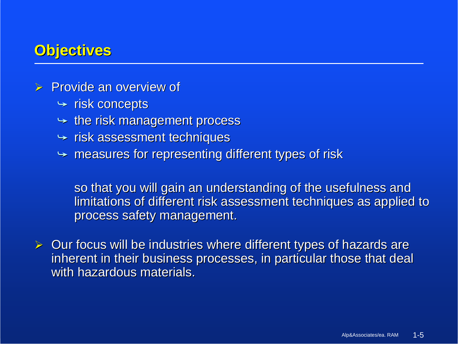## **Objectives Objectives**

- ¾Provide an overview of
	- $\blacktriangleright$  risk concepts
	- $\rightarrow$  the risk management process
	- $\blacktriangleright$  risk assessment techniques
	- $\blacktriangleright$  measures for representing different types of risk

so that you will gain an understanding of the usefulness and limitations of different risk assessment techniques as applied to process safety management.

 $\triangleright$  Our focus will be industries where different types of hazards are inherent in their business processes, in particular those that deal with hazardous materials.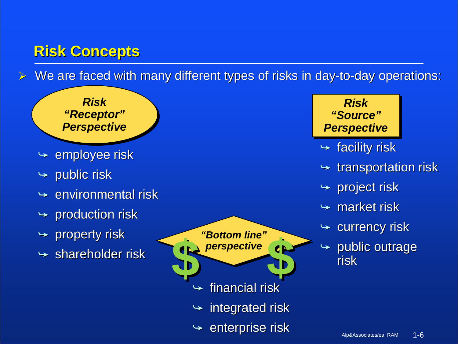## **Risk Concepts Risk Concepts**

 $\triangleright$  We are faced with many different types of risks in day-to-day operations:



- $\blacktriangleright$  employee risk
- $\rightarrow \,$  public risk
- $\div$  environmental risk
- $\rightarrow$  production risk
- $\rightarrow$  property risk
- $\rightarrow$  shareholder risk

 $\rightarrow$ financial risk  $\blacktriangleright$  integrated risk  $\blacktriangleright$  enterprise risk *"Bottom line" "Bottom line" perspective perspective* **\$ \$**



- $\div$  facility risk
- $\rightarrow$  transportation risk
- $\rightarrow$  project risk
- $\rightarrow$  market risk
- $\rightarrow$  currency risk
- $\rightarrow$  public outrage risk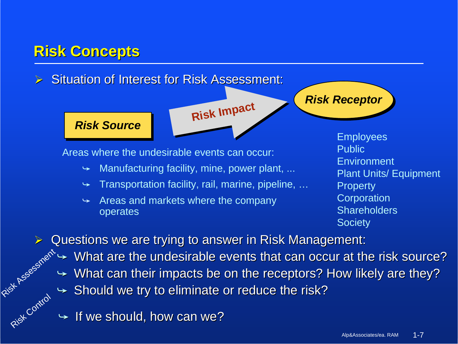# **Risk Concepts Risk Concepts**

Ris

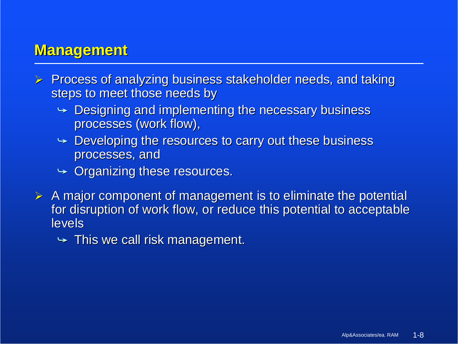## **Management Management**

- $\blacktriangleright$ Process of analyzing business stakeholder needs, and taking steps to meet those needs by
	- $\blacktriangleright$  Designing and implementing the necessary business processes (work flow),
	- $\rightarrow$  Developing the resources to carry out these business processes, and
	- $\rightarrow$  Organizing these resources.
- $\blacktriangleright$ A major component of management is to eliminate the potential for disruption of work flow, or reduce this potential to acceptable levels
	- $\rightarrow$  This we call risk management.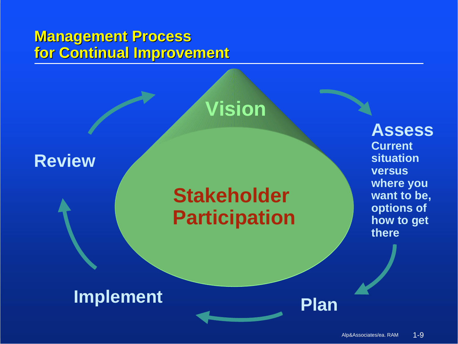#### **Management Process Management Process for Continual Improvement for Continual Improvement**

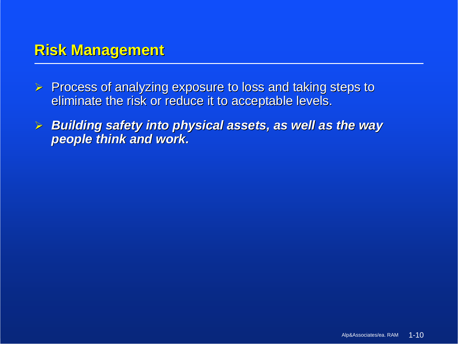# **Risk Management Risk Management**

- $\blacktriangleright$ Process of analyzing exposure to loss and taking steps to eliminate the risk or reduce it to acceptable levels.
- ¾**Building safety into physical assets, as well as the way** *people think and work. people think and work.*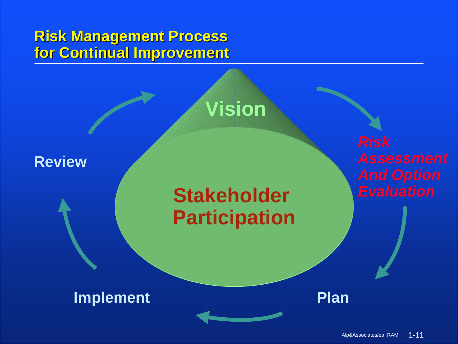#### **Risk Management Process for Continual Improvement for Continual Improvement**

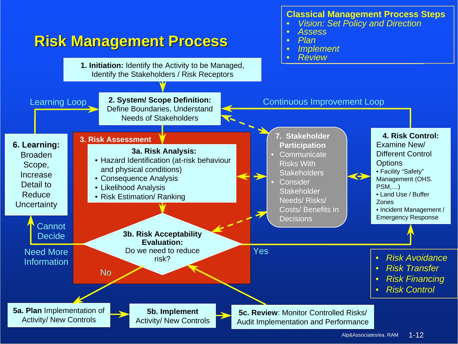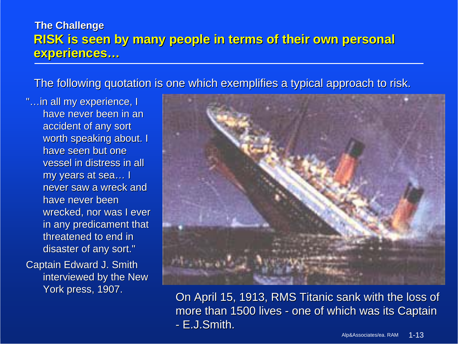#### **RISK is seen by many people in RISK is seen by many people in terms of their own personal terms of their own personal**  experiences... **The Challenge The Challenge**

The following quotation is one which exemplifies a typical approach to risk.

"...in all my experience, I have never been in an accident of any sort worth speaking about. I have seen but one vessel in distress in all vessel in distress in all my years at sea... I never saw a wreck and have never been wrecked, nor was I ever in any predicament that threatened to end in disaster of any sort." **Captain Edward J. Smith** interviewed by the New

York press, 1907.



On April 15, 1913, RMS Titanic sank with the loss of more than 1500 lives - one of which was its Captain - E.J.Smith.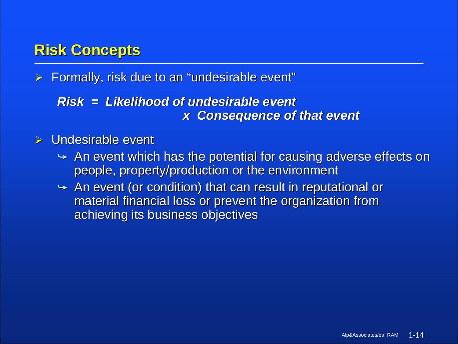# **Risk Concepts Risk Concepts**

 $\blacktriangleright$ Formally, risk due to an "undesirable event"

#### *Risk = Likelihood of undesirable event Risk = Likelihood of undesirable event x Consequence of that event x Consequence of that event*

#### $\blacktriangleright$ Undesirable event

- $\blacktriangleright$  An event which has the potential for causing adverse effects on people, property/production or the environment
- $\blacktriangleright$  An event (or condition) that can result in reputational or material financial loss or prevent the organization from achieving its business objectives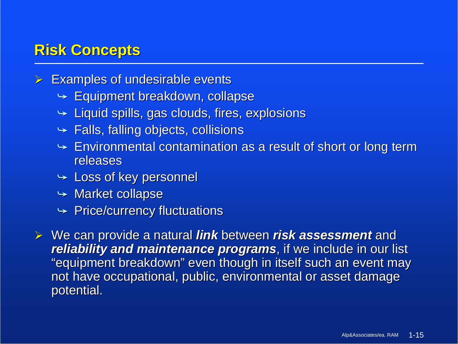# **Risk Concepts Risk Concepts**

- $\blacktriangleright$ **Examples of undesirable events** 
	- $\blacktriangleright$  Equipment breakdown, collapse
	- $\bm{\mathord{\succ}}$  Liquid spills, gas clouds, fires, explosions
	- $\blacktriangleright$  Falls, falling objects, collisions
	- $\blacktriangleright$  Environmental contamination as a result of short or long term releases
	- $\blacktriangleright$  Loss of key personnel
	- $\rightarrow$  Market collapse
	- $\rightarrow$  Price/currency fluctuations

**→ We can provide a natural** *link* **between** *risk assessment* **and** *reliability and maintenance programs*, if we include in our list "equipment breakdown" even though in itself such an event may not have occupational, public, environmental or asset damage potential.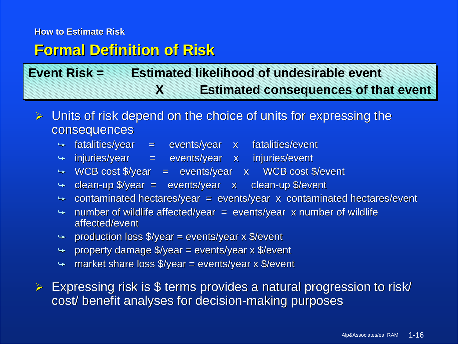#### **How to Estimate Risk How to Estimate Risk**

#### **Formal Definition of Risk Formal Definition of Risk**

## **Event Risk =**  $\qquad$  **Estimated likelihood of undesirable event X Estimated consequences of that event X Estimated consequences of that event**

¾Units of risk depend on the choice of units for expressing the consequences

- $\rightarrow$  fatalities/year = events/year x fatalities/event
- $\rightarrow$  injuries/year = events/year x injuries/event
- $\rightarrow$  WCB cost \$/year = events/year x WCB cost \$/event
- $\leftrightarrow$  clean-up \$/year = events/year x clean-up \$/event
- $\rightarrow$   $\,$  contaminated hectares/year = events/year x contaminated hectares/event
- $\rightarrow$  number of wildlife affected/year = events/year x number of wildlife affected/event affected/event
- $\rightarrow$  production loss \$/year = events/year x \$/event
- $\rightarrow$  property damage \$/year = events/year x \$/event
- $\rightarrow$  market share loss \$/year = events/year x \$/event

¾Expressing risk is \$ terms provides a natural progression to risk/ cost/ benefit analyses for decision-making purposes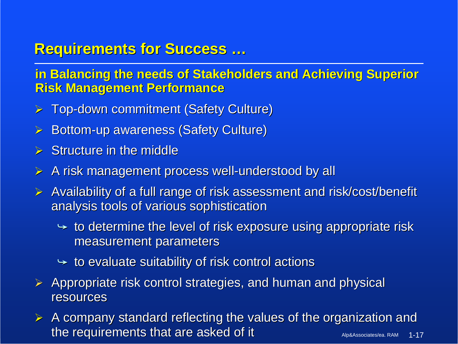#### **Requirements for Success … Requirements for Success …**

**in Balancing the needs of Stakeholders and Achieving Superior Risk Management Performance Risk Management Performance**

- > Top-down commitment (Safety Culture)
- ¾Bottom-up awareness (Safety Culture)
- $\triangleright$  Structure in the middle
- ¾A risk management process well-understood by all
- $\triangleright$  Availability of a full range of risk assessment and risk/cost/benefit analysis tools of various sophistication
	- $\rightarrow$  to determine the level of risk exposure using appropriate risk measurement parameters measurement parameters
	- $\rightarrow$  to evaluate suitability of risk control actions
- $\triangleright$  Appropriate risk control strategies, and human and physical resources
- Alp&Associates/ea. RAM 1-17 ¾A company standard reflecting the values of the organization and the requirements that are asked of it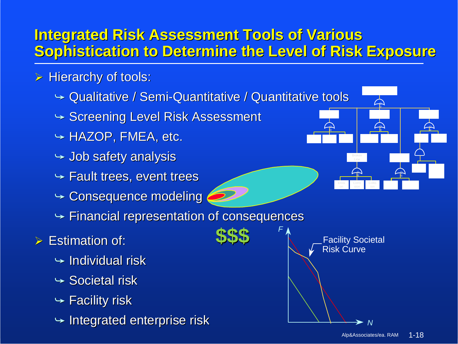#### **Integrated Risk Assessment Tools of Various Sophistication to Determine the Level of Risk Exposure Sophistication to Determine the Level of Risk Exposure**

**\$\$\$**

- $\triangleright$  Hierarchy of tools:
	- $\rightarrow$  Qualitative / Semi-Quantitative / Quantitative tools
	- $\bm{\mathsf{S}}$  Screening Level Risk Assessment
	- $\leftrightarrow$  HAZOP, FMEA, etc.
	- $\bm{\mathord{\succ}}$  Job safety analysis
	- $\blacktriangleright$  Fault trees, event trees
	- $\rightarrow$  Consequence modeling
	- $\rightarrow$  Financial representation of consequences
- $\triangleright$  Estimation of:
	- $\bm{\mathsf{\rightarrow}}$  Individual risk
	- $\rightarrow$  Societal risk
	- $\bm{\mathsf{\succ}}$  Facility risk
	- $\blacktriangleright$  Integrated enterprise risk



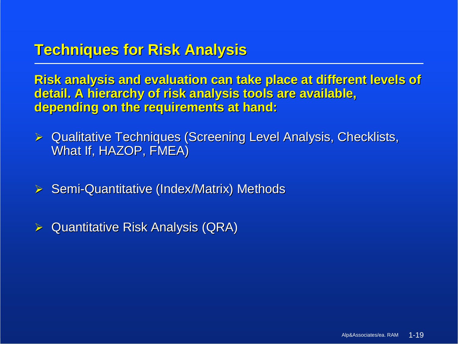# **Techniques for Risk Analysis Techniques for Risk Analysis**

**Risk analysis and evaluation can take place at different levels of detail. A hierarchy of risk analysis tools are available, depending on the requirements at hand: depending on the requirements at hand:**

 $\blacktriangleright$ Qualitative Techniques (Screening Level Analysis, Checklists, What If, HAZOP, FMEA)

¾Semi-Quantitative (Index/Matrix) Methods

 $\blacktriangleright$ Quantitative Risk Analysis (QRA)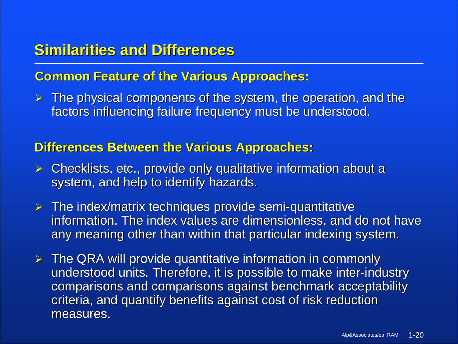## **Similarities and Differences Similarities and Differences**

#### **Common Feature of the Various Approaches:**

 $\triangleright$  The physical components of the system, the operation, and the factors influencing failure frequency must be understood.

#### **Differences Between the Various Approaches:**

- $\blacktriangleright$ Checklists, etc., provide only qualitative information about a system, and help to identify hazards.
- $\triangleright$  The index/matrix techniques provide semi-quantitative information. The index values are dimensionless, and do not have any meaning other than within that particular indexing system.
- $\triangleright$  The QRA will provide quantitative information in commonly understood units. Therefore, it is possible to make inter-industry comparisons and comparisons against benchmark acceptability criteria, and quantify benefits against cost of risk reduction measures.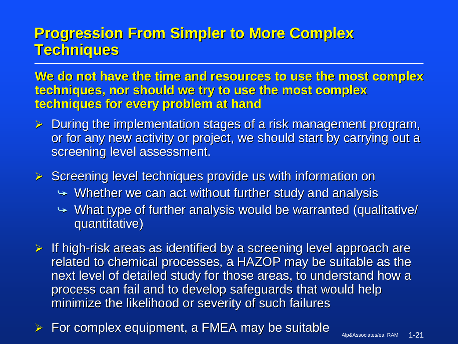## **Progression From Simpler to More Complex Progression From Simpler to More Complex Techniques Techniques**

We do not have the time and resources to use the most complex **techniques, nor should we try to use the most complex techniques, nor should we try to use the most complex techniques for every problem at hand techniques for every problem at hand**

¾During the implementation stages of a risk management program, or for any new activity or project, we should start by carrying out a screening level assessment.

 $\triangleright$  Screening level techniques provide us with information on

- $\rightarrow$  Whether we can act without further study and analysis
- $\rightarrow$  What type of further analysis would be warranted (qualitative/ quantitative)
- $\triangleright$  If high-risk areas as identified by a screening level approach are related to chemical processes, a HAZOP may be suitable as the next level of detailed study for those areas, to understand how a process can fail and to develop safeguards that would help minimize the likelihood or severity of such failures
- ¾For complex equipment, a FMEA may be suitable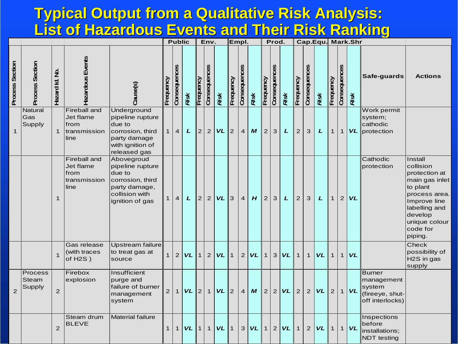#### **Typical Output from a Qualitative Risk Analysis: Typical Output from a Qualitative Risk Analysis: List of Hazardous Events and Their Risk Ranking List of Hazardous Events and Their Risk Ranking**

|                        |                                   |                              |                                                                  |                                                                                                                    | <b>Public</b>  |                     |                           | Env.         |                |                  | Empl.        |                |                  | Prod.          |                |           |                |                |                | Cap.Equ. Mark.Shr |                |           |                                                                      |                                                                                                                                                                          |
|------------------------|-----------------------------------|------------------------------|------------------------------------------------------------------|--------------------------------------------------------------------------------------------------------------------|----------------|---------------------|---------------------------|--------------|----------------|------------------|--------------|----------------|------------------|----------------|----------------|-----------|----------------|----------------|----------------|-------------------|----------------|-----------|----------------------------------------------------------------------|--------------------------------------------------------------------------------------------------------------------------------------------------------------------------|
| <b>Process Section</b> | <b>Process Section</b>            | $\overline{2}$<br>Hazard Id. | i<br>⊡<br>⊡                                                      | <b>Cause(s)</b>                                                                                                    | Frequency      | <b>Consequences</b> | Risk                      | Frequency    | Conse          | Risk             | Frequency    | Conseque       | Risk             | Frequency      | Conse          | Risk      | Frequency      | Consequences   | Risk           | Frequency         | Consequences   | Risk      | Safe-guards                                                          | <b>Actions</b>                                                                                                                                                           |
| $\mathbf{1}$           | Natural<br>Gas<br><b>Supply</b>   | 1                            | <b>Fireball and</b><br>Jet flame<br>from<br>transmission<br>line | Underground<br>pipeline rupture<br>due to<br>corrosion, third<br>party damage<br>with ignition of<br>released gas  | $\mathbf 1$    | $\overline{4}$      | $\mathbf{L}$              | $\mathbf{Z}$ | $\overline{2}$ | <b>VL</b>        | 2            | $\overline{4}$ | $\boldsymbol{M}$ | $\overline{2}$ | 3              | L         | 2              | 3              | L              | $\mathbf{1}$      | $\mathbf{1}$   |           | Work permit<br>system;<br>cathodic<br><b>VL</b> protection           |                                                                                                                                                                          |
|                        |                                   | 1                            | <b>Fireball and</b><br>Jet flame<br>from<br>transmission<br>line | Abovegroud<br>pipeline rupture<br>due to<br>corrosion, third<br>party damage,<br>collision with<br>ignition of gas |                | 4                   | L                         | $\mathbf{2}$ | $\overline{2}$ | <b>VL</b>        | 3            | $\overline{4}$ | H                | $\overline{2}$ | 3              | L         | $\overline{2}$ | 3              | L              | $\mathbf 1$       | $\overline{2}$ | <b>VL</b> | Cathodic<br>protection                                               | Install<br>collision<br>protection at<br>main gas inlet<br>to plant<br>process area.<br>Improve line<br>labelling and<br>develop<br>unique colour<br>code for<br>piping. |
|                        |                                   | $\mathbf{1}$                 | Gas release<br>(with traces<br>of H <sub>2</sub> S)              | Upstream failure<br>to treat gas at<br>source                                                                      | $\mathbf 1$    | $\overline{2}$      | <b>VL</b>                 | $\mathbf{1}$ | $\overline{2}$ | <b>VL</b>        | $\mathbf{1}$ | $\overline{2}$ | <b>VL</b>        | $\mathbf{1}$   | $\mathbf{3}$   | <b>VL</b> | $\mathbf{1}$   | $\mathbf{1}$   | <b>VL</b>      | $\mathbf{1}$      | $\mathbf{1}$   | <b>VL</b> |                                                                      | <b>Check</b><br>possibility of<br>H2S in gas<br>supply                                                                                                                   |
| $\mathbf{2}$           | <b>Process</b><br>Steam<br>Supply | $\overline{2}$               | Firebox<br>explosion                                             | Insufficient<br>purge and<br>failure of burner<br>management<br>system                                             | $\overline{2}$ | 1                   | $V^2$ 2                   |              | 1              | <b>VL</b>        | 2            | $\overline{4}$ | $\boldsymbol{M}$ | $\overline{2}$ | $\overline{2}$ | <b>VL</b> | 2 <sup>1</sup> | $\overline{2}$ | VL             | $\overline{2}$    | $\mathbf{1}$   | <b>VL</b> | Burner<br>management<br>system<br>(fireeye, shut-<br>off interlocks) |                                                                                                                                                                          |
|                        |                                   | 2                            | Steam drum<br><b>BLEVE</b>                                       | <b>Material failure</b>                                                                                            |                |                     | $V\mathsf{L}\vert 1\vert$ |              | 1              | $V\mathsf{L}\ 1$ |              |                | $ 3 $ VL $ 1 2 $ |                |                | $VL$   1  |                | $\overline{2}$ | $V\mathcal{L}$ |                   | $1 \mid 1$     | VL        | Inspections<br>before<br>installations;<br>NDT testing               |                                                                                                                                                                          |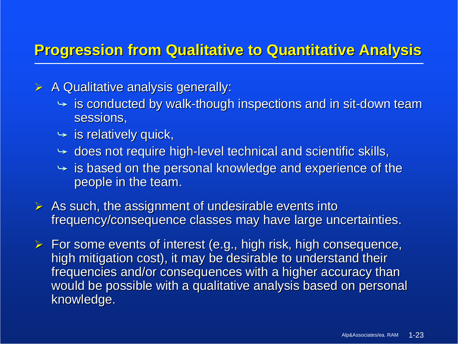## **Progression from Qualitative to Quantitative Analysis Progression from Qualitative to Quantitative Analysis**

- $\blacktriangleright$ A Qualitative analysis generally:
	- $\rightarrow$  is conducted by walk-though inspections and in sit-down team  $\,$ sessions,
	- $\blacktriangleright$  is relatively quick,
	- $\rightarrow$  does not require high-level technical and scientific skills,
	- $\rightarrow$  is based on the personal knowledge and experience of the people in the team.
- ¾As such, the assignment of undesirable events into frequency/consequence classes may have large uncertainties.
- ¾For some events of interest (e.g., high risk, high consequence, high mitigation cost), it may be desirable to understand their frequencies and/or consequences with a higher accuracy than would be possible with a qualitative analysis based on personal knowledge.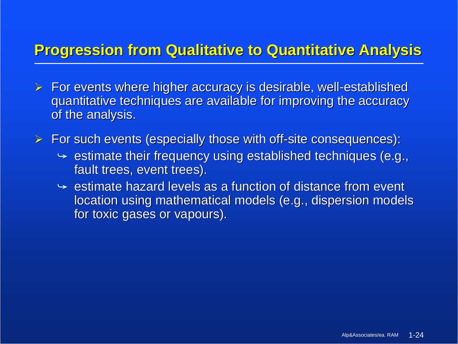## **Progression from Qualitative to Quantitative Analysis Progression from Qualitative to Quantitative Analysis**

- $\blacktriangleright$ For events where higher accuracy is desirable, well-established quantitative techniques are available for improving the accuracy of the analysis.
- $\blacktriangleright$ For such events (especially those with off-site consequences):
	- $\rightarrow$  estimate their frequency using established techniques (e.g., fault trees, event trees).
	- $\rightarrow$  estimate hazard levels as a function of distance from event location using mathematical models (e.g., dispersion models for toxic gases or vapours).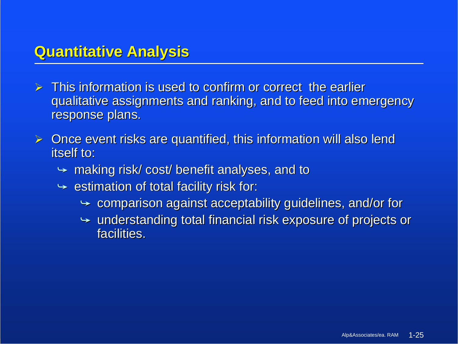## **Quantitative Analysis Quantitative Analysis**

- $\blacktriangleright$ This information is used to confirm or correct the earlier qualitative assignments and ranking, and to feed into emergency response plans.
- $\blacktriangleright$ Once event risks are quantified, this information will also lend itself to:
	- $\blacktriangleright$  making risk/ cost/ benefit analyses, and to
	- $\rightarrow$  estimation of total facility risk for:
		- $\rightarrow$  comparison against acceptability guidelines, and/or for
		- $\rightarrow$  understanding total financial risk exposure of projects or facilities.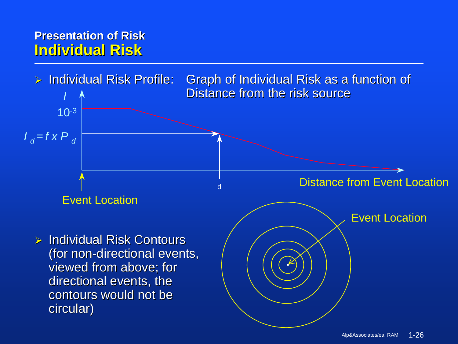#### **Presentation of Risk Individual Risk Individual Risk**

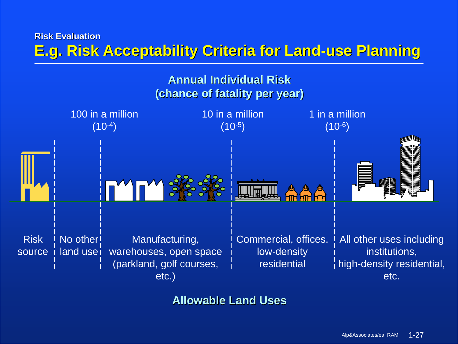#### **Risk Evaluation Risk EvaluationE.g. Risk Acceptability Criteria for Land E.g. Risk Acceptability Criteria for Land-use Planning use Planning**



**Allowable Land Uses Allowable Land Uses**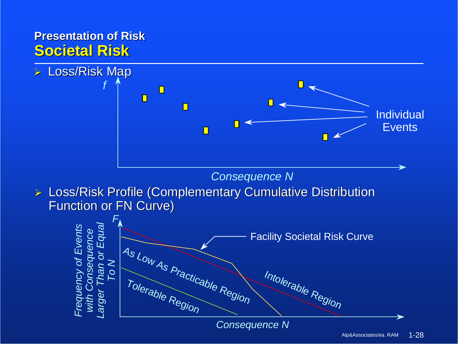#### **Presentation of Risk Societal Risk Societal Risk**



*Consequence N* 

▶ Loss/Risk Profile (Complementary Cumulative Distribution **Function or FN Curve)** 

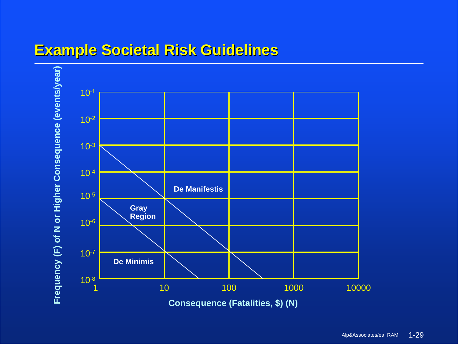#### **Example Societal Risk Guidelines Example Societal Risk Guidelines**

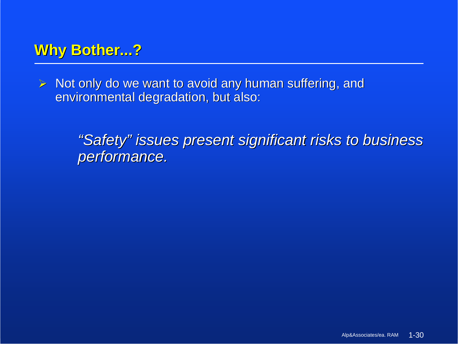# **Why Bother...? Why Bother...?**

 $\triangleright$  Not only do we want to avoid any human suffering, and environmental degradation, but also:

> *"Safety" issues present significant risks to business "Safety" issues present significant risks to business performance. performance.*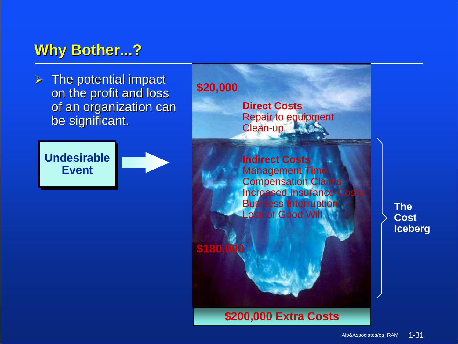# **Why Bother...? Why Bother...?**

 $\triangleright$  The potential impact on the profit and loss of an organization can be significant.



**\$200,000 Extra Costs \$20,000 \$180,000 Direct Costs**Repair to equipment Clean-up **Indirect Costs**Management Time Compensation Claims **Increased Insurance Co** Business Interruption Loss of Good Will

**TheCostIceberg**